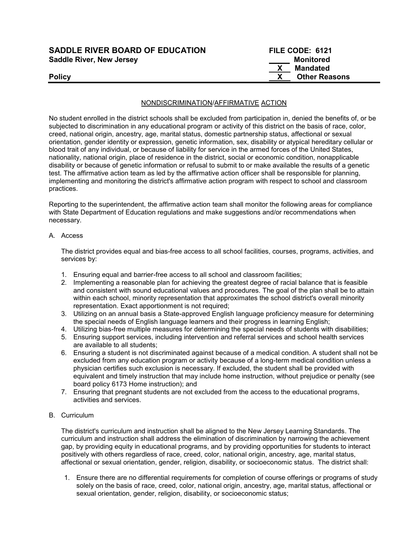| <b>SADDLE RIVER BOARD OF EDUCATION</b> | FILE CODE: 6121      |
|----------------------------------------|----------------------|
| <b>Saddle River, New Jersey</b>        | Monitored            |
|                                        | Mandated             |
| <b>Policy</b>                          | <b>Other Reasons</b> |

#### NONDISCRIMINATION/AFFIRMATIVE ACTION

No student enrolled in the district schools shall be excluded from participation in, denied the benefits of, or be subjected to discrimination in any educational program or activity of this district on the basis of race, color, creed, national origin, ancestry, age, marital status, domestic partnership status, affectional or sexual orientation, gender identity or expression, genetic information, sex, disability or atypical hereditary cellular or blood trait of any individual, or because of liability for service in the armed forces of the United States, nationality, national origin, place of residence in the district, social or economic condition, nonapplicable disability or because of genetic information or refusal to submit to or make available the results of a genetic test. The affirmative action team as led by the affirmative action officer shall be responsible for planning, implementing and monitoring the district's affirmative action program with respect to school and classroom practices.

Reporting to the superintendent, the affirmative action team shall monitor the following areas for compliance with State Department of Education regulations and make suggestions and/or recommendations when necessary.

#### A. Access

The district provides equal and bias-free access to all school facilities, courses, programs, activities, and services by:

- 1. Ensuring equal and barrier-free access to all school and classroom facilities;
- 2. Implementing a reasonable plan for achieving the greatest degree of racial balance that is feasible and consistent with sound educational values and procedures. The goal of the plan shall be to attain within each school, minority representation that approximates the school district's overall minority representation. Exact apportionment is not required;
- 3. Utilizing on an annual basis a State-approved English language proficiency measure for determining the special needs of English language learners and their progress in learning English;
- 4. Utilizing bias-free multiple measures for determining the special needs of students with disabilities;
- 5. Ensuring support services, including intervention and referral services and school health services are available to all students;
- 6. Ensuring a student is not discriminated against because of a medical condition. A student shall not be excluded from any education program or activity because of a long-term medical condition unless a physician certifies such exclusion is necessary. If excluded, the student shall be provided with equivalent and timely instruction that may include home instruction, without prejudice or penalty (see board policy 6173 Home instruction); and
- 7. Ensuring that pregnant students are not excluded from the access to the educational programs, activities and services.

### B. Curriculum

The district's curriculum and instruction shall be aligned to the New Jersey Learning Standards. The curriculum and instruction shall address the elimination of discrimination by narrowing the achievement gap, by providing equity in educational programs, and by providing opportunities for students to interact positively with others regardless of race, creed, color, national origin, ancestry, age, marital status, affectional or sexual orientation, gender, religion, disability, or socioeconomic status. The district shall:

1. Ensure there are no differential requirements for completion of course offerings or programs of study solely on the basis of race, creed, color, national origin, ancestry, age, marital status, affectional or sexual orientation, gender, religion, disability, or socioeconomic status;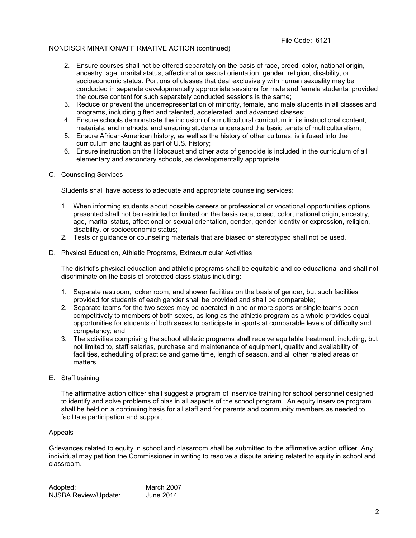#### File Code: 6121

### NONDISCRIMINATION/AFFIRMATIVE ACTION (continued)

- 2. Ensure courses shall not be offered separately on the basis of race, creed, color, national origin, ancestry, age, marital status, affectional or sexual orientation, gender, religion, disability, or socioeconomic status. Portions of classes that deal exclusively with human sexuality may be conducted in separate developmentally appropriate sessions for male and female students, provided the course content for such separately conducted sessions is the same;
- 3. Reduce or prevent the underrepresentation of minority, female, and male students in all classes and programs, including gifted and talented, accelerated, and advanced classes;
- 4. Ensure schools demonstrate the inclusion of a multicultural curriculum in its instructional content, materials, and methods, and ensuring students understand the basic tenets of multiculturalism;
- 5. Ensure African-American history, as well as the history of other cultures, is infused into the curriculum and taught as part of U.S. history;
- 6. Ensure instruction on the Holocaust and other acts of genocide is included in the curriculum of all elementary and secondary schools, as developmentally appropriate.

#### C. Counseling Services

Students shall have access to adequate and appropriate counseling services:

- 1. When informing students about possible careers or professional or vocational opportunities options presented shall not be restricted or limited on the basis race, creed, color, national origin, ancestry, age, marital status, affectional or sexual orientation, gender, gender identity or expression, religion, disability, or socioeconomic status;
- 2. Tests or guidance or counseling materials that are biased or stereotyped shall not be used.
- D. Physical Education, Athletic Programs, Extracurricular Activities

The district's physical education and athletic programs shall be equitable and co-educational and shall not discriminate on the basis of protected class status including:

- 1. Separate restroom, locker room, and shower facilities on the basis of gender, but such facilities provided for students of each gender shall be provided and shall be comparable;
- 2. Separate teams for the two sexes may be operated in one or more sports or single teams open competitively to members of both sexes, as long as the athletic program as a whole provides equal opportunities for students of both sexes to participate in sports at comparable levels of difficulty and competency; and
- 3. The activities comprising the school athletic programs shall receive equitable treatment, including, but not limited to, staff salaries, purchase and maintenance of equipment, quality and availability of facilities, scheduling of practice and game time, length of season, and all other related areas or matters.
- E. Staff training

The affirmative action officer shall suggest a program of inservice training for school personnel designed to identify and solve problems of bias in all aspects of the school program. An equity inservice program shall be held on a continuing basis for all staff and for parents and community members as needed to facilitate participation and support.

#### Appeals

Grievances related to equity in school and classroom shall be submitted to the affirmative action officer. Any individual may petition the Commissioner in writing to resolve a dispute arising related to equity in school and classroom.

| Adopted:             | March 2007 |
|----------------------|------------|
| NJSBA Review/Update: | June 2014  |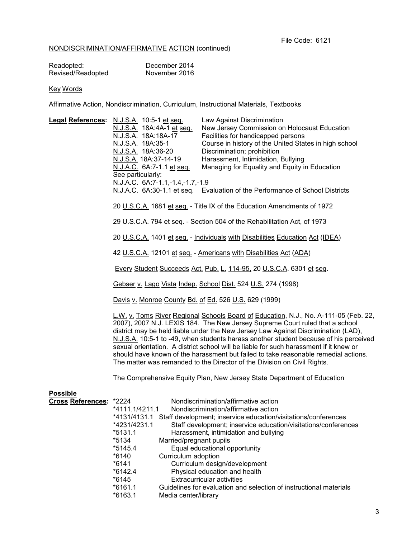## NONDISCRIMINATION/AFFIRMATIVE ACTION (continued)

| Readopted:        | December 2014 |
|-------------------|---------------|
| Revised/Readopted | November 2016 |

# Key Words

Affirmative Action, Nondiscrimination, Curriculum, Instructional Materials, Textbooks

| Legal References: N.J.S.A. 10:5-1 et seq. | N.J.S.A. 18A:4A-1 et seq.<br>N.J.S.A. 18A:18A-17                                                                                                                                                                                                                                                                                                                                                                                                                                                                                                                                                                 |                         | Law Against Discrimination<br>New Jersey Commission on Holocaust Education<br>Facilities for handicapped persons |  |  |
|-------------------------------------------|------------------------------------------------------------------------------------------------------------------------------------------------------------------------------------------------------------------------------------------------------------------------------------------------------------------------------------------------------------------------------------------------------------------------------------------------------------------------------------------------------------------------------------------------------------------------------------------------------------------|-------------------------|------------------------------------------------------------------------------------------------------------------|--|--|
|                                           | N.J.S.A. 18A:35-1                                                                                                                                                                                                                                                                                                                                                                                                                                                                                                                                                                                                |                         | Course in history of the United States in high school                                                            |  |  |
|                                           | N.J.S.A. 18A:36-20                                                                                                                                                                                                                                                                                                                                                                                                                                                                                                                                                                                               |                         | Discrimination; prohibition                                                                                      |  |  |
|                                           | <u>N.J.S.A.</u> 18A:37-14-19                                                                                                                                                                                                                                                                                                                                                                                                                                                                                                                                                                                     |                         | Harassment, Intimidation, Bullying                                                                               |  |  |
|                                           | N.J.A.C. 6A:7-1.1 et seq.                                                                                                                                                                                                                                                                                                                                                                                                                                                                                                                                                                                        |                         | Managing for Equality and Equity in Education                                                                    |  |  |
|                                           | See particularly:                                                                                                                                                                                                                                                                                                                                                                                                                                                                                                                                                                                                |                         |                                                                                                                  |  |  |
|                                           | N.J.A.C. 6A:7-1.1,-1.4,-1.7,-1.9                                                                                                                                                                                                                                                                                                                                                                                                                                                                                                                                                                                 |                         | N.J.A.C. 6A:30-1.1 et seq. Evaluation of the Performance of School Districts                                     |  |  |
|                                           |                                                                                                                                                                                                                                                                                                                                                                                                                                                                                                                                                                                                                  |                         | 20 U.S.C.A. 1681 et seq. - Title IX of the Education Amendments of 1972                                          |  |  |
|                                           | 29 U.S.C.A. 794 et seq. - Section 504 of the Rehabilitation Act, of 1973                                                                                                                                                                                                                                                                                                                                                                                                                                                                                                                                         |                         |                                                                                                                  |  |  |
|                                           | 20 U.S.C.A. 1401 et seq. - Individuals with Disabilities Education Act (IDEA)                                                                                                                                                                                                                                                                                                                                                                                                                                                                                                                                    |                         |                                                                                                                  |  |  |
|                                           | 42 U.S.C.A. 12101 et seq. - Americans with Disabilities Act (ADA)                                                                                                                                                                                                                                                                                                                                                                                                                                                                                                                                                |                         |                                                                                                                  |  |  |
|                                           | Every Student Succeeds Act, Pub. L. 114-95, 20 U.S.C.A. 6301 et seq.                                                                                                                                                                                                                                                                                                                                                                                                                                                                                                                                             |                         |                                                                                                                  |  |  |
|                                           |                                                                                                                                                                                                                                                                                                                                                                                                                                                                                                                                                                                                                  |                         | Gebser v. Lago Vista Indep. School Dist. 524 U.S. 274 (1998)                                                     |  |  |
|                                           | Davis v. Monroe County Bd. of Ed. 526 U.S. 629 (1999)                                                                                                                                                                                                                                                                                                                                                                                                                                                                                                                                                            |                         |                                                                                                                  |  |  |
|                                           | L.W. v. Toms River Regional Schools Board of Education, N.J., No. A-111-05 (Feb. 22,<br>2007), 2007 N.J. LEXIS 184. The New Jersey Supreme Court ruled that a school<br>district may be held liable under the New Jersey Law Against Discrimination (LAD),<br>N.J.S.A. 10:5-1 to -49, when students harass another student because of his perceived<br>sexual orientation. A district school will be liable for such harassment if it knew or<br>should have known of the harassment but failed to take reasonable remedial actions.<br>The matter was remanded to the Director of the Division on Civil Rights. |                         |                                                                                                                  |  |  |
|                                           | The Comprehensive Equity Plan, New Jersey State Department of Education                                                                                                                                                                                                                                                                                                                                                                                                                                                                                                                                          |                         |                                                                                                                  |  |  |
| <b>Possible</b>                           |                                                                                                                                                                                                                                                                                                                                                                                                                                                                                                                                                                                                                  |                         |                                                                                                                  |  |  |
| Cross References: *2224                   |                                                                                                                                                                                                                                                                                                                                                                                                                                                                                                                                                                                                                  |                         | Nondiscrimination/affirmative action                                                                             |  |  |
|                                           | *4111.1/4211.1                                                                                                                                                                                                                                                                                                                                                                                                                                                                                                                                                                                                   |                         | Nondiscrimination/affirmative action                                                                             |  |  |
|                                           |                                                                                                                                                                                                                                                                                                                                                                                                                                                                                                                                                                                                                  |                         | *4131/4131.1 Staff development; inservice education/visitations/conferences                                      |  |  |
|                                           | *4231/4231.1                                                                                                                                                                                                                                                                                                                                                                                                                                                                                                                                                                                                     |                         | Staff development; inservice education/visitations/conferences                                                   |  |  |
|                                           | $*5131.1$<br>*5134                                                                                                                                                                                                                                                                                                                                                                                                                                                                                                                                                                                               | Married/pregnant pupils | Harassment, intimidation and bullying                                                                            |  |  |
|                                           | *5145.4                                                                                                                                                                                                                                                                                                                                                                                                                                                                                                                                                                                                          |                         | Equal educational opportunity                                                                                    |  |  |
|                                           | *6140                                                                                                                                                                                                                                                                                                                                                                                                                                                                                                                                                                                                            | Curriculum adoption     |                                                                                                                  |  |  |
|                                           | $*6141$                                                                                                                                                                                                                                                                                                                                                                                                                                                                                                                                                                                                          |                         | Curriculum design/development                                                                                    |  |  |
|                                           | $*6142.4$                                                                                                                                                                                                                                                                                                                                                                                                                                                                                                                                                                                                        |                         | Physical education and health                                                                                    |  |  |
|                                           | *6145                                                                                                                                                                                                                                                                                                                                                                                                                                                                                                                                                                                                            |                         | <b>Extracurricular activities</b>                                                                                |  |  |
|                                           | $*6161.1$                                                                                                                                                                                                                                                                                                                                                                                                                                                                                                                                                                                                        |                         | Guidelines for evaluation and selection of instructional materials                                               |  |  |
|                                           | *6163.1                                                                                                                                                                                                                                                                                                                                                                                                                                                                                                                                                                                                          | Media center/library    |                                                                                                                  |  |  |